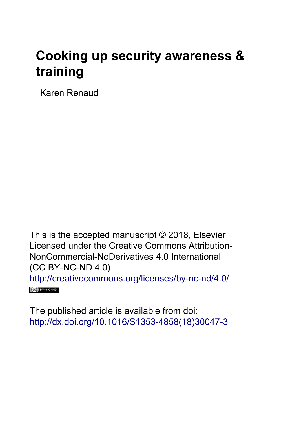## **Cooking up security awareness & training**

Karen Renaud

This is the accepted manuscript © 2018, Elsevier Licensed under the Creative Commons Attribution-NonCommercial-NoDerivatives 4.0 International (CC BY-NC-ND 4.0) <http://creativecommons.org/licenses/by-nc-nd/4.0/>  $(Cc)$  BY-NC-ND

The published article is available from doi: [http://dx.doi.org/10.1016/S1353-4858\(18\)30047-3](http://dx.doi.org/10.1016/S1353-4858(18)30047-3)